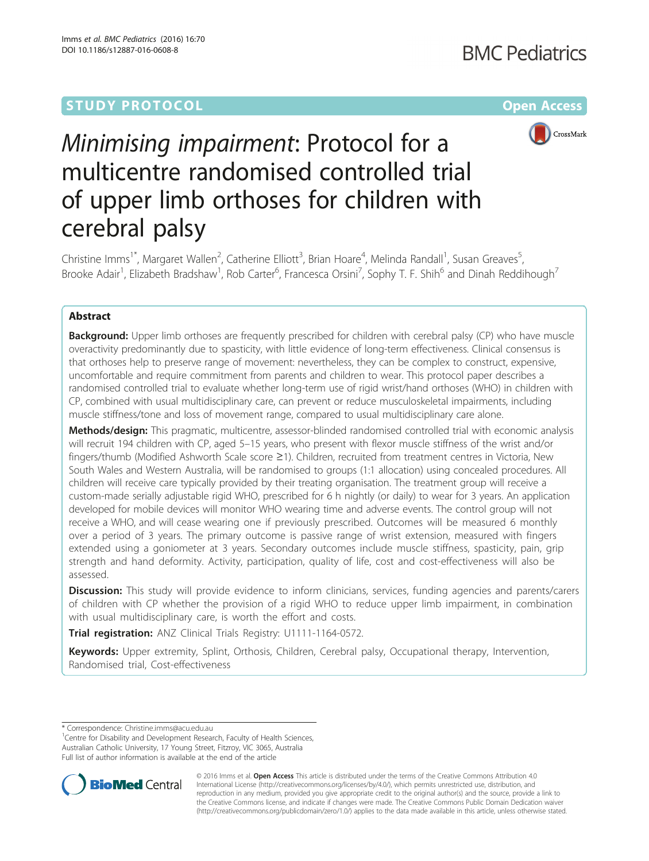## **STUDY PROTOCOL CONSUMING THE RESERVE ACCESS**



# Minimising impairment: Protocol for a multicentre randomised controlled trial of upper limb orthoses for children with cerebral palsy

Christine Imms<sup>1\*</sup>, Margaret Wallen<sup>2</sup>, Catherine Elliott<sup>3</sup>, Brian Hoare<sup>4</sup>, Melinda Randall<sup>1</sup>, Susan Greaves<sup>5</sup> , Brooke Adair<sup>1</sup>, Elizabeth Bradshaw<sup>1</sup>, Rob Carter<sup>6</sup>, Francesca Orsini<sup>7</sup>, Sophy T. F. Shih<sup>6</sup> and Dinah Reddihough<sup>7</sup>

## Abstract

**Background:** Upper limb orthoses are frequently prescribed for children with cerebral palsy (CP) who have muscle overactivity predominantly due to spasticity, with little evidence of long-term effectiveness. Clinical consensus is that orthoses help to preserve range of movement: nevertheless, they can be complex to construct, expensive, uncomfortable and require commitment from parents and children to wear. This protocol paper describes a randomised controlled trial to evaluate whether long-term use of rigid wrist/hand orthoses (WHO) in children with CP, combined with usual multidisciplinary care, can prevent or reduce musculoskeletal impairments, including muscle stiffness/tone and loss of movement range, compared to usual multidisciplinary care alone.

Methods/design: This pragmatic, multicentre, assessor-blinded randomised controlled trial with economic analysis will recruit 194 children with CP, aged 5–15 years, who present with flexor muscle stiffness of the wrist and/or fingers/thumb (Modified Ashworth Scale score ≥1). Children, recruited from treatment centres in Victoria, New South Wales and Western Australia, will be randomised to groups (1:1 allocation) using concealed procedures. All children will receive care typically provided by their treating organisation. The treatment group will receive a custom-made serially adjustable rigid WHO, prescribed for 6 h nightly (or daily) to wear for 3 years. An application developed for mobile devices will monitor WHO wearing time and adverse events. The control group will not receive a WHO, and will cease wearing one if previously prescribed. Outcomes will be measured 6 monthly over a period of 3 years. The primary outcome is passive range of wrist extension, measured with fingers extended using a goniometer at 3 years. Secondary outcomes include muscle stiffness, spasticity, pain, grip strength and hand deformity. Activity, participation, quality of life, cost and cost-effectiveness will also be assessed.

Discussion: This study will provide evidence to inform clinicians, services, funding agencies and parents/carers of children with CP whether the provision of a rigid WHO to reduce upper limb impairment, in combination with usual multidisciplinary care, is worth the effort and costs.

Trial registration: ANZ Clinical Trials Registry: U1111-1164-0572.

Keywords: Upper extremity, Splint, Orthosis, Children, Cerebral palsy, Occupational therapy, Intervention, Randomised trial, Cost-effectiveness

\* Correspondence: Christine.imms@acu.edu.au <sup>1</sup>

<sup>1</sup>Centre for Disability and Development Research, Faculty of Health Sciences, Australian Catholic University, 17 Young Street, Fitzroy, VIC 3065, Australia Full list of author information is available at the end of the article



© 2016 Imms et al. Open Access This article is distributed under the terms of the Creative Commons Attribution 4.0 International License (http://creativecommons.org/licenses/by/4.0/), which permits unrestricted use, distribution, and reproduction in any medium, provided you give appropriate credit to the original author(s) and the source, provide a link to the Creative Commons license, and indicate if changes were made. The Creative Commons Public Domain Dedication waiver (http://creativecommons.org/publicdomain/zero/1.0/) applies to the data made available in this article, unless otherwise stated.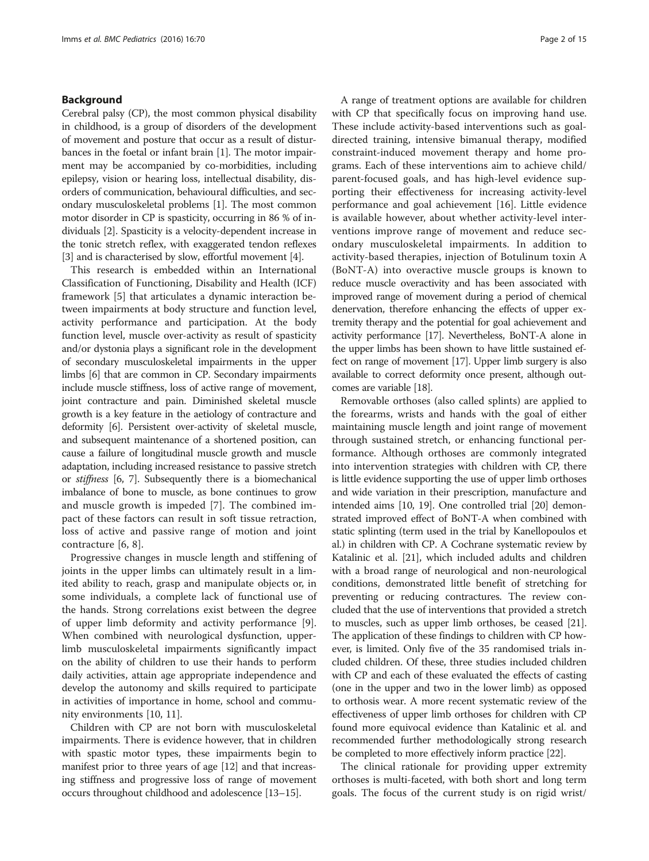#### Background

Cerebral palsy (CP), the most common physical disability in childhood, is a group of disorders of the development of movement and posture that occur as a result of disturbances in the foetal or infant brain [1]. The motor impairment may be accompanied by co-morbidities, including epilepsy, vision or hearing loss, intellectual disability, disorders of communication, behavioural difficulties, and secondary musculoskeletal problems [1]. The most common motor disorder in CP is spasticity, occurring in 86 % of individuals [2]. Spasticity is a velocity-dependent increase in the tonic stretch reflex, with exaggerated tendon reflexes [3] and is characterised by slow, effortful movement [4].

This research is embedded within an International Classification of Functioning, Disability and Health (ICF) framework [5] that articulates a dynamic interaction between impairments at body structure and function level, activity performance and participation. At the body function level, muscle over-activity as result of spasticity and/or dystonia plays a significant role in the development of secondary musculoskeletal impairments in the upper limbs [6] that are common in CP. Secondary impairments include muscle stiffness, loss of active range of movement, joint contracture and pain. Diminished skeletal muscle growth is a key feature in the aetiology of contracture and deformity [6]. Persistent over-activity of skeletal muscle, and subsequent maintenance of a shortened position, can cause a failure of longitudinal muscle growth and muscle adaptation, including increased resistance to passive stretch or stiffness [6, 7]. Subsequently there is a biomechanical imbalance of bone to muscle, as bone continues to grow and muscle growth is impeded [7]. The combined impact of these factors can result in soft tissue retraction, loss of active and passive range of motion and joint contracture [6, 8].

Progressive changes in muscle length and stiffening of joints in the upper limbs can ultimately result in a limited ability to reach, grasp and manipulate objects or, in some individuals, a complete lack of functional use of the hands. Strong correlations exist between the degree of upper limb deformity and activity performance [9]. When combined with neurological dysfunction, upperlimb musculoskeletal impairments significantly impact on the ability of children to use their hands to perform daily activities, attain age appropriate independence and develop the autonomy and skills required to participate in activities of importance in home, school and community environments [10, 11].

Children with CP are not born with musculoskeletal impairments. There is evidence however, that in children with spastic motor types, these impairments begin to manifest prior to three years of age [12] and that increasing stiffness and progressive loss of range of movement occurs throughout childhood and adolescence [13–15].

A range of treatment options are available for children with CP that specifically focus on improving hand use. These include activity-based interventions such as goaldirected training, intensive bimanual therapy, modified constraint-induced movement therapy and home programs. Each of these interventions aim to achieve child/ parent-focused goals, and has high-level evidence supporting their effectiveness for increasing activity-level performance and goal achievement [16]. Little evidence is available however, about whether activity-level interventions improve range of movement and reduce secondary musculoskeletal impairments. In addition to activity-based therapies, injection of Botulinum toxin A (BoNT-A) into overactive muscle groups is known to reduce muscle overactivity and has been associated with improved range of movement during a period of chemical denervation, therefore enhancing the effects of upper extremity therapy and the potential for goal achievement and activity performance [17]. Nevertheless, BoNT-A alone in the upper limbs has been shown to have little sustained effect on range of movement [17]. Upper limb surgery is also available to correct deformity once present, although outcomes are variable [18].

Removable orthoses (also called splints) are applied to the forearms, wrists and hands with the goal of either maintaining muscle length and joint range of movement through sustained stretch, or enhancing functional performance. Although orthoses are commonly integrated into intervention strategies with children with CP, there is little evidence supporting the use of upper limb orthoses and wide variation in their prescription, manufacture and intended aims [10, 19]. One controlled trial [20] demonstrated improved effect of BoNT-A when combined with static splinting (term used in the trial by Kanellopoulos et al.) in children with CP. A Cochrane systematic review by Katalinic et al. [21], which included adults and children with a broad range of neurological and non-neurological conditions, demonstrated little benefit of stretching for preventing or reducing contractures. The review concluded that the use of interventions that provided a stretch to muscles, such as upper limb orthoses, be ceased [21]. The application of these findings to children with CP however, is limited. Only five of the 35 randomised trials included children. Of these, three studies included children with CP and each of these evaluated the effects of casting (one in the upper and two in the lower limb) as opposed to orthosis wear. A more recent systematic review of the effectiveness of upper limb orthoses for children with CP found more equivocal evidence than Katalinic et al. and recommended further methodologically strong research be completed to more effectively inform practice [22].

The clinical rationale for providing upper extremity orthoses is multi-faceted, with both short and long term goals. The focus of the current study is on rigid wrist/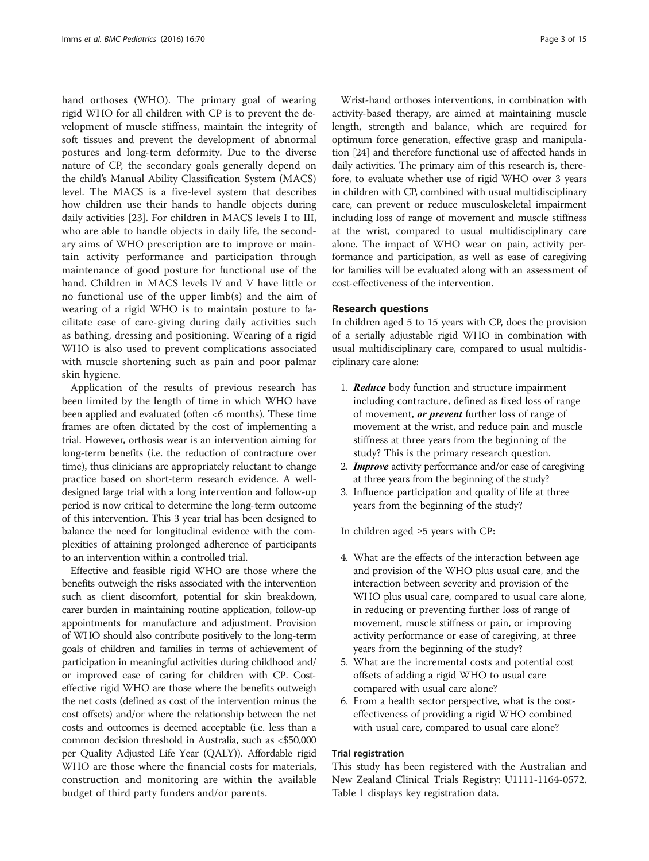hand orthoses (WHO). The primary goal of wearing rigid WHO for all children with CP is to prevent the development of muscle stiffness, maintain the integrity of soft tissues and prevent the development of abnormal postures and long-term deformity. Due to the diverse nature of CP, the secondary goals generally depend on the child's Manual Ability Classification System (MACS) level. The MACS is a five-level system that describes how children use their hands to handle objects during daily activities [23]. For children in MACS levels I to III, who are able to handle objects in daily life, the secondary aims of WHO prescription are to improve or maintain activity performance and participation through maintenance of good posture for functional use of the hand. Children in MACS levels IV and V have little or no functional use of the upper limb(s) and the aim of wearing of a rigid WHO is to maintain posture to facilitate ease of care-giving during daily activities such as bathing, dressing and positioning. Wearing of a rigid WHO is also used to prevent complications associated with muscle shortening such as pain and poor palmar skin hygiene.

Application of the results of previous research has been limited by the length of time in which WHO have been applied and evaluated (often <6 months). These time frames are often dictated by the cost of implementing a trial. However, orthosis wear is an intervention aiming for long-term benefits (i.e. the reduction of contracture over time), thus clinicians are appropriately reluctant to change practice based on short-term research evidence. A welldesigned large trial with a long intervention and follow-up period is now critical to determine the long-term outcome of this intervention. This 3 year trial has been designed to balance the need for longitudinal evidence with the complexities of attaining prolonged adherence of participants to an intervention within a controlled trial.

Effective and feasible rigid WHO are those where the benefits outweigh the risks associated with the intervention such as client discomfort, potential for skin breakdown, carer burden in maintaining routine application, follow-up appointments for manufacture and adjustment. Provision of WHO should also contribute positively to the long-term goals of children and families in terms of achievement of participation in meaningful activities during childhood and/ or improved ease of caring for children with CP. Costeffective rigid WHO are those where the benefits outweigh the net costs (defined as cost of the intervention minus the cost offsets) and/or where the relationship between the net costs and outcomes is deemed acceptable (i.e. less than a common decision threshold in Australia, such as <\$50,000 per Quality Adjusted Life Year (QALY)). Affordable rigid WHO are those where the financial costs for materials, construction and monitoring are within the available budget of third party funders and/or parents.

Wrist-hand orthoses interventions, in combination with activity-based therapy, are aimed at maintaining muscle length, strength and balance, which are required for optimum force generation, effective grasp and manipulation [24] and therefore functional use of affected hands in daily activities. The primary aim of this research is, therefore, to evaluate whether use of rigid WHO over 3 years in children with CP, combined with usual multidisciplinary care, can prevent or reduce musculoskeletal impairment including loss of range of movement and muscle stiffness at the wrist, compared to usual multidisciplinary care alone. The impact of WHO wear on pain, activity performance and participation, as well as ease of caregiving for families will be evaluated along with an assessment of cost-effectiveness of the intervention.

#### Research questions

In children aged 5 to 15 years with CP, does the provision of a serially adjustable rigid WHO in combination with usual multidisciplinary care, compared to usual multidisciplinary care alone:

- 1. **Reduce** body function and structure impairment including contracture, defined as fixed loss of range of movement, or prevent further loss of range of movement at the wrist, and reduce pain and muscle stiffness at three years from the beginning of the study? This is the primary research question.
- 2. Improve activity performance and/or ease of caregiving at three years from the beginning of the study?
- 3. Influence participation and quality of life at three years from the beginning of the study?

In children aged ≥5 years with CP:

- 4. What are the effects of the interaction between age and provision of the WHO plus usual care, and the interaction between severity and provision of the WHO plus usual care, compared to usual care alone, in reducing or preventing further loss of range of movement, muscle stiffness or pain, or improving activity performance or ease of caregiving, at three years from the beginning of the study?
- 5. What are the incremental costs and potential cost offsets of adding a rigid WHO to usual care compared with usual care alone?
- 6. From a health sector perspective, what is the costeffectiveness of providing a rigid WHO combined with usual care, compared to usual care alone?

#### Trial registration

This study has been registered with the Australian and New Zealand Clinical Trials Registry: U1111-1164-0572. Table 1 displays key registration data.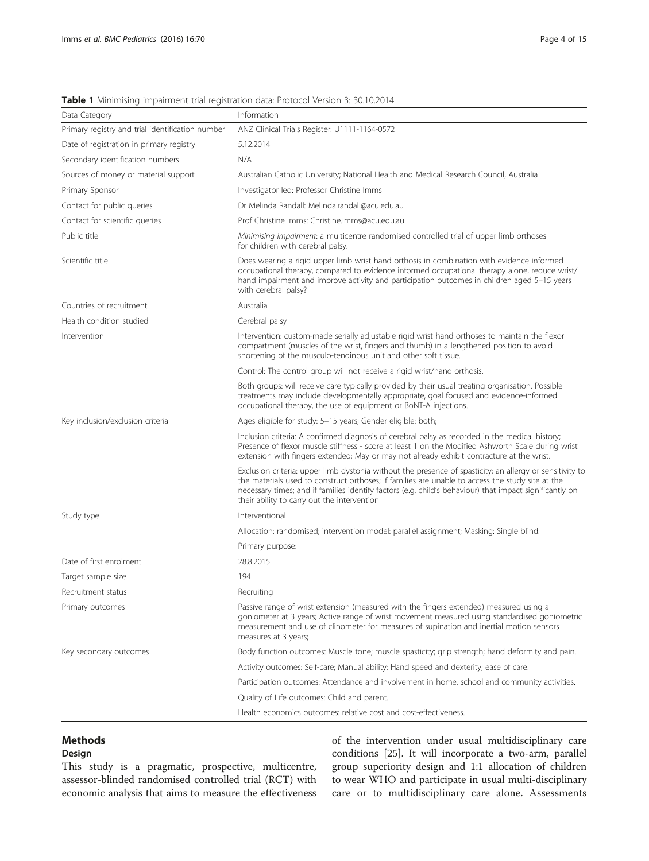| <b>Table 1</b> Minimising impairment trial registration data: Protocol Version 3: 30.10.2014 |  |  |  |
|----------------------------------------------------------------------------------------------|--|--|--|
|                                                                                              |  |  |  |

| Data Category                                    | Information                                                                                                                                                                                                                                                                                                                                                            |  |  |
|--------------------------------------------------|------------------------------------------------------------------------------------------------------------------------------------------------------------------------------------------------------------------------------------------------------------------------------------------------------------------------------------------------------------------------|--|--|
| Primary registry and trial identification number | ANZ Clinical Trials Register: U1111-1164-0572                                                                                                                                                                                                                                                                                                                          |  |  |
| Date of registration in primary registry         | 5.12.2014                                                                                                                                                                                                                                                                                                                                                              |  |  |
| Secondary identification numbers                 | N/A                                                                                                                                                                                                                                                                                                                                                                    |  |  |
| Sources of money or material support             | Australian Catholic University; National Health and Medical Research Council, Australia                                                                                                                                                                                                                                                                                |  |  |
| Primary Sponsor                                  | Investigator led: Professor Christine Imms                                                                                                                                                                                                                                                                                                                             |  |  |
| Contact for public queries                       | Dr Melinda Randall: Melinda.randall@acu.edu.au                                                                                                                                                                                                                                                                                                                         |  |  |
| Contact for scientific queries                   | Prof Christine Imms: Christine.imms@acu.edu.au                                                                                                                                                                                                                                                                                                                         |  |  |
| Public title                                     | Minimising impairment: a multicentre randomised controlled trial of upper limb orthoses<br>for children with cerebral palsy.                                                                                                                                                                                                                                           |  |  |
| Scientific title                                 | Does wearing a rigid upper limb wrist hand orthosis in combination with evidence informed<br>occupational therapy, compared to evidence informed occupational therapy alone, reduce wrist/<br>hand impairment and improve activity and participation outcomes in children aged 5-15 years<br>with cerebral palsy?                                                      |  |  |
| Countries of recruitment                         | Australia                                                                                                                                                                                                                                                                                                                                                              |  |  |
| Health condition studied                         | Cerebral palsy                                                                                                                                                                                                                                                                                                                                                         |  |  |
| Intervention                                     | Intervention: custom-made serially adjustable rigid wrist hand orthoses to maintain the flexor<br>compartment (muscles of the wrist, fingers and thumb) in a lengthened position to avoid<br>shortening of the musculo-tendinous unit and other soft tissue.                                                                                                           |  |  |
|                                                  | Control: The control group will not receive a rigid wrist/hand orthosis.                                                                                                                                                                                                                                                                                               |  |  |
|                                                  | Both groups: will receive care typically provided by their usual treating organisation. Possible<br>treatments may include developmentally appropriate, goal focused and evidence-informed<br>occupational therapy, the use of equipment or BoNT-A injections.                                                                                                         |  |  |
| Key inclusion/exclusion criteria                 | Ages eligible for study: 5-15 years; Gender eligible: both;                                                                                                                                                                                                                                                                                                            |  |  |
|                                                  | Inclusion criteria: A confirmed diagnosis of cerebral palsy as recorded in the medical history;<br>Presence of flexor muscle stiffness - score at least 1 on the Modified Ashworth Scale during wrist<br>extension with fingers extended; May or may not already exhibit contracture at the wrist.                                                                     |  |  |
|                                                  | Exclusion criteria: upper limb dystonia without the presence of spasticity; an allergy or sensitivity to<br>the materials used to construct orthoses; if families are unable to access the study site at the<br>necessary times; and if families identify factors (e.g. child's behaviour) that impact significantly on<br>their ability to carry out the intervention |  |  |
| Study type                                       | Interventional                                                                                                                                                                                                                                                                                                                                                         |  |  |
|                                                  | Allocation: randomised; intervention model: parallel assignment; Masking: Single blind.                                                                                                                                                                                                                                                                                |  |  |
|                                                  | Primary purpose:                                                                                                                                                                                                                                                                                                                                                       |  |  |
| Date of first enrolment                          | 28.8.2015                                                                                                                                                                                                                                                                                                                                                              |  |  |
| Target sample size                               | 194                                                                                                                                                                                                                                                                                                                                                                    |  |  |
| Recruitment status                               | Recruitina                                                                                                                                                                                                                                                                                                                                                             |  |  |
| Primary outcomes                                 | Passive range of wrist extension (measured with the fingers extended) measured using a<br>goniometer at 3 years; Active range of wrist movement measured using standardised goniometric<br>measurement and use of clinometer for measures of supination and inertial motion sensors<br>measures at 3 years;                                                            |  |  |
| Key secondary outcomes                           | Body function outcomes: Muscle tone; muscle spasticity; grip strength; hand deformity and pain.                                                                                                                                                                                                                                                                        |  |  |
|                                                  | Activity outcomes: Self-care; Manual ability; Hand speed and dexterity; ease of care.                                                                                                                                                                                                                                                                                  |  |  |
|                                                  | Participation outcomes: Attendance and involvement in home, school and community activities.                                                                                                                                                                                                                                                                           |  |  |
|                                                  | Quality of Life outcomes: Child and parent.                                                                                                                                                                                                                                                                                                                            |  |  |
|                                                  | Health economics outcomes: relative cost and cost-effectiveness.                                                                                                                                                                                                                                                                                                       |  |  |

## Methods

### Design

This study is a pragmatic, prospective, multicentre, assessor-blinded randomised controlled trial (RCT) with economic analysis that aims to measure the effectiveness of the intervention under usual multidisciplinary care conditions [25]. It will incorporate a two-arm, parallel group superiority design and 1:1 allocation of children to wear WHO and participate in usual multi-disciplinary care or to multidisciplinary care alone. Assessments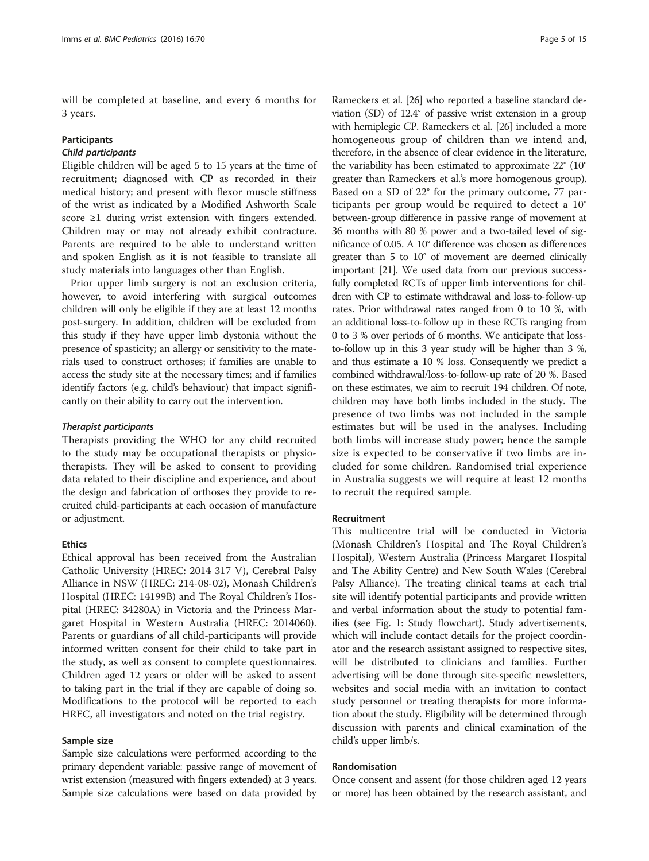will be completed at baseline, and every 6 months for 3 years.

#### Participants

#### Child participants

Eligible children will be aged 5 to 15 years at the time of recruitment; diagnosed with CP as recorded in their medical history; and present with flexor muscle stiffness of the wrist as indicated by a Modified Ashworth Scale score ≥1 during wrist extension with fingers extended. Children may or may not already exhibit contracture. Parents are required to be able to understand written and spoken English as it is not feasible to translate all study materials into languages other than English.

Prior upper limb surgery is not an exclusion criteria, however, to avoid interfering with surgical outcomes children will only be eligible if they are at least 12 months post-surgery. In addition, children will be excluded from this study if they have upper limb dystonia without the presence of spasticity; an allergy or sensitivity to the materials used to construct orthoses; if families are unable to access the study site at the necessary times; and if families identify factors (e.g. child's behaviour) that impact significantly on their ability to carry out the intervention.

#### Therapist participants

Therapists providing the WHO for any child recruited to the study may be occupational therapists or physiotherapists. They will be asked to consent to providing data related to their discipline and experience, and about the design and fabrication of orthoses they provide to recruited child-participants at each occasion of manufacture or adjustment.

#### **Ethics**

Ethical approval has been received from the Australian Catholic University (HREC: 2014 317 V), Cerebral Palsy Alliance in NSW (HREC: 214-08-02), Monash Children's Hospital (HREC: 14199B) and The Royal Children's Hospital (HREC: 34280A) in Victoria and the Princess Margaret Hospital in Western Australia (HREC: 2014060). Parents or guardians of all child-participants will provide informed written consent for their child to take part in the study, as well as consent to complete questionnaires. Children aged 12 years or older will be asked to assent to taking part in the trial if they are capable of doing so. Modifications to the protocol will be reported to each HREC, all investigators and noted on the trial registry.

#### Sample size

Sample size calculations were performed according to the primary dependent variable: passive range of movement of wrist extension (measured with fingers extended) at 3 years. Sample size calculations were based on data provided by

Rameckers et al. [26] who reported a baseline standard deviation (SD) of 12.4° of passive wrist extension in a group with hemiplegic CP. Rameckers et al. [26] included a more homogeneous group of children than we intend and, therefore, in the absence of clear evidence in the literature, the variability has been estimated to approximate 22° (10° greater than Rameckers et al.'s more homogenous group). Based on a SD of 22° for the primary outcome, 77 participants per group would be required to detect a 10° between-group difference in passive range of movement at 36 months with 80 % power and a two-tailed level of significance of 0.05. A 10° difference was chosen as differences greater than 5 to 10° of movement are deemed clinically important [21]. We used data from our previous successfully completed RCTs of upper limb interventions for children with CP to estimate withdrawal and loss-to-follow-up rates. Prior withdrawal rates ranged from 0 to 10 %, with an additional loss-to-follow up in these RCTs ranging from 0 to 3 % over periods of 6 months. We anticipate that lossto-follow up in this 3 year study will be higher than 3 %, and thus estimate a 10 % loss. Consequently we predict a combined withdrawal/loss-to-follow-up rate of 20 %. Based on these estimates, we aim to recruit 194 children. Of note, children may have both limbs included in the study. The presence of two limbs was not included in the sample estimates but will be used in the analyses. Including both limbs will increase study power; hence the sample size is expected to be conservative if two limbs are included for some children. Randomised trial experience in Australia suggests we will require at least 12 months to recruit the required sample.

#### Recruitment

This multicentre trial will be conducted in Victoria (Monash Children's Hospital and The Royal Children's Hospital), Western Australia (Princess Margaret Hospital and The Ability Centre) and New South Wales (Cerebral Palsy Alliance). The treating clinical teams at each trial site will identify potential participants and provide written and verbal information about the study to potential families (see Fig. 1: Study flowchart). Study advertisements, which will include contact details for the project coordinator and the research assistant assigned to respective sites, will be distributed to clinicians and families. Further advertising will be done through site-specific newsletters, websites and social media with an invitation to contact study personnel or treating therapists for more information about the study. Eligibility will be determined through discussion with parents and clinical examination of the child's upper limb/s.

#### Randomisation

Once consent and assent (for those children aged 12 years or more) has been obtained by the research assistant, and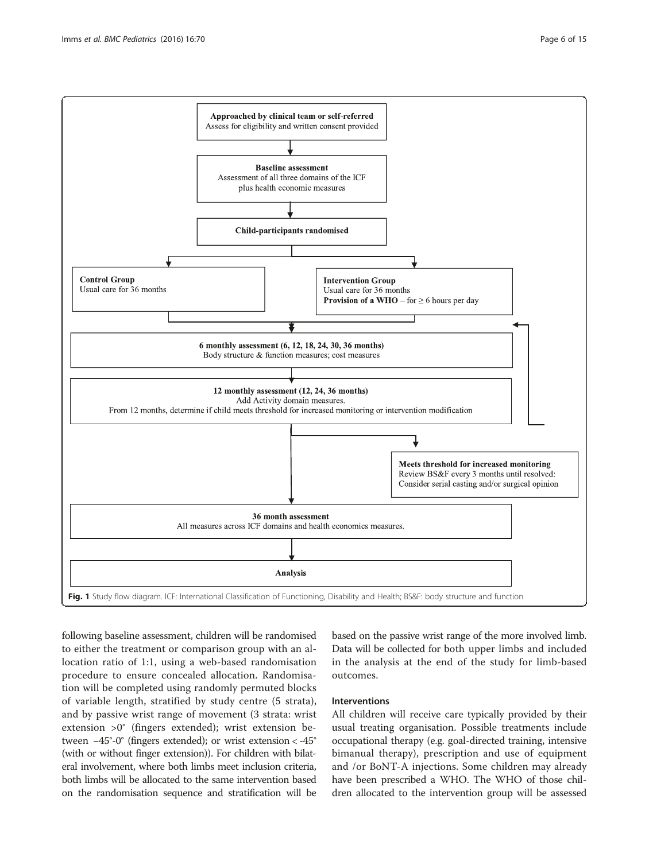

following baseline assessment, children will be randomised to either the treatment or comparison group with an allocation ratio of 1:1, using a web-based randomisation procedure to ensure concealed allocation. Randomisation will be completed using randomly permuted blocks of variable length, stratified by study centre (5 strata), and by passive wrist range of movement (3 strata: wrist extension >0° (fingers extended); wrist extension between −45°-0° (fingers extended); or wrist extension < -45° (with or without finger extension)). For children with bilateral involvement, where both limbs meet inclusion criteria, both limbs will be allocated to the same intervention based on the randomisation sequence and stratification will be based on the passive wrist range of the more involved limb. Data will be collected for both upper limbs and included in the analysis at the end of the study for limb-based outcomes.

#### Interventions

All children will receive care typically provided by their usual treating organisation. Possible treatments include occupational therapy (e.g. goal-directed training, intensive bimanual therapy), prescription and use of equipment and /or BoNT-A injections. Some children may already have been prescribed a WHO. The WHO of those children allocated to the intervention group will be assessed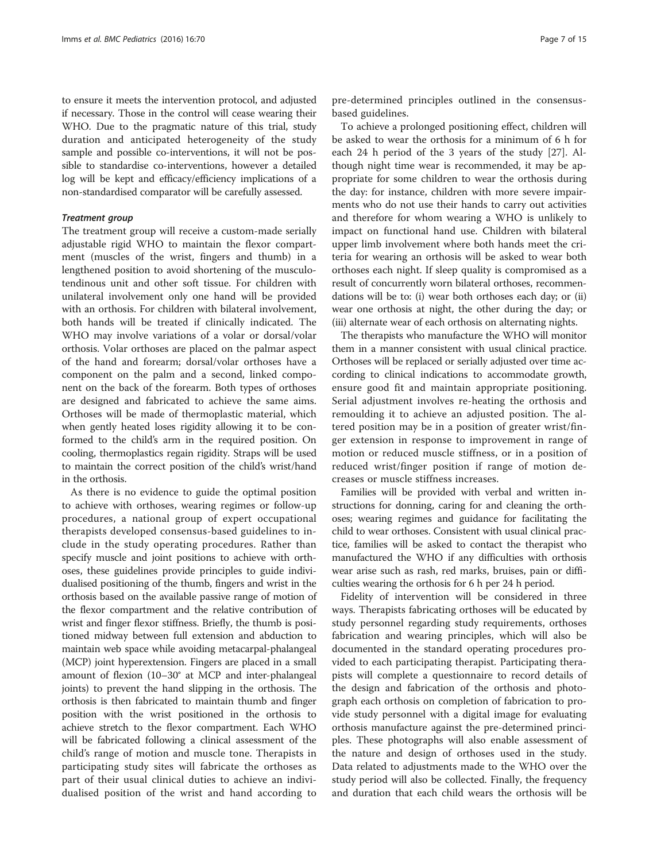to ensure it meets the intervention protocol, and adjusted if necessary. Those in the control will cease wearing their WHO. Due to the pragmatic nature of this trial, study duration and anticipated heterogeneity of the study sample and possible co-interventions, it will not be possible to standardise co-interventions, however a detailed log will be kept and efficacy/efficiency implications of a non-standardised comparator will be carefully assessed.

#### Treatment group

The treatment group will receive a custom-made serially adjustable rigid WHO to maintain the flexor compartment (muscles of the wrist, fingers and thumb) in a lengthened position to avoid shortening of the musculotendinous unit and other soft tissue. For children with unilateral involvement only one hand will be provided with an orthosis. For children with bilateral involvement, both hands will be treated if clinically indicated. The WHO may involve variations of a volar or dorsal/volar orthosis. Volar orthoses are placed on the palmar aspect of the hand and forearm; dorsal/volar orthoses have a component on the palm and a second, linked component on the back of the forearm. Both types of orthoses are designed and fabricated to achieve the same aims. Orthoses will be made of thermoplastic material, which when gently heated loses rigidity allowing it to be conformed to the child's arm in the required position. On cooling, thermoplastics regain rigidity. Straps will be used to maintain the correct position of the child's wrist/hand in the orthosis.

As there is no evidence to guide the optimal position to achieve with orthoses, wearing regimes or follow-up procedures, a national group of expert occupational therapists developed consensus-based guidelines to include in the study operating procedures. Rather than specify muscle and joint positions to achieve with orthoses, these guidelines provide principles to guide individualised positioning of the thumb, fingers and wrist in the orthosis based on the available passive range of motion of the flexor compartment and the relative contribution of wrist and finger flexor stiffness. Briefly, the thumb is positioned midway between full extension and abduction to maintain web space while avoiding metacarpal-phalangeal (MCP) joint hyperextension. Fingers are placed in a small amount of flexion (10–30° at MCP and inter-phalangeal joints) to prevent the hand slipping in the orthosis. The orthosis is then fabricated to maintain thumb and finger position with the wrist positioned in the orthosis to achieve stretch to the flexor compartment. Each WHO will be fabricated following a clinical assessment of the child's range of motion and muscle tone. Therapists in participating study sites will fabricate the orthoses as part of their usual clinical duties to achieve an individualised position of the wrist and hand according to

pre-determined principles outlined in the consensusbased guidelines.

To achieve a prolonged positioning effect, children will be asked to wear the orthosis for a minimum of 6 h for each 24 h period of the 3 years of the study [27]. Although night time wear is recommended, it may be appropriate for some children to wear the orthosis during the day: for instance, children with more severe impairments who do not use their hands to carry out activities and therefore for whom wearing a WHO is unlikely to impact on functional hand use. Children with bilateral upper limb involvement where both hands meet the criteria for wearing an orthosis will be asked to wear both orthoses each night. If sleep quality is compromised as a result of concurrently worn bilateral orthoses, recommendations will be to: (i) wear both orthoses each day; or (ii) wear one orthosis at night, the other during the day; or (iii) alternate wear of each orthosis on alternating nights.

The therapists who manufacture the WHO will monitor them in a manner consistent with usual clinical practice. Orthoses will be replaced or serially adjusted over time according to clinical indications to accommodate growth, ensure good fit and maintain appropriate positioning. Serial adjustment involves re-heating the orthosis and remoulding it to achieve an adjusted position. The altered position may be in a position of greater wrist/finger extension in response to improvement in range of motion or reduced muscle stiffness, or in a position of reduced wrist/finger position if range of motion decreases or muscle stiffness increases.

Families will be provided with verbal and written instructions for donning, caring for and cleaning the orthoses; wearing regimes and guidance for facilitating the child to wear orthoses. Consistent with usual clinical practice, families will be asked to contact the therapist who manufactured the WHO if any difficulties with orthosis wear arise such as rash, red marks, bruises, pain or difficulties wearing the orthosis for 6 h per 24 h period.

Fidelity of intervention will be considered in three ways. Therapists fabricating orthoses will be educated by study personnel regarding study requirements, orthoses fabrication and wearing principles, which will also be documented in the standard operating procedures provided to each participating therapist. Participating therapists will complete a questionnaire to record details of the design and fabrication of the orthosis and photograph each orthosis on completion of fabrication to provide study personnel with a digital image for evaluating orthosis manufacture against the pre-determined principles. These photographs will also enable assessment of the nature and design of orthoses used in the study. Data related to adjustments made to the WHO over the study period will also be collected. Finally, the frequency and duration that each child wears the orthosis will be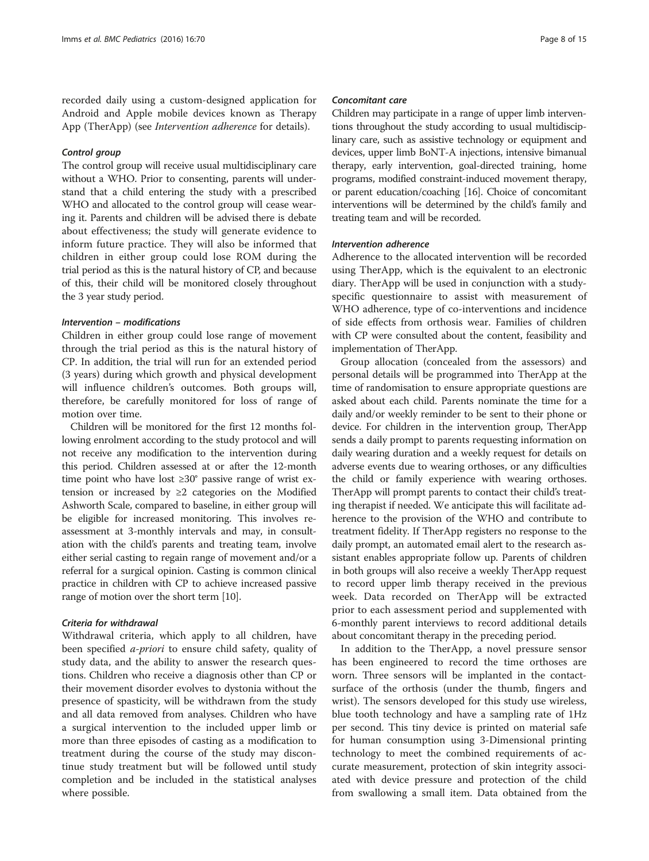recorded daily using a custom-designed application for Android and Apple mobile devices known as Therapy App (TherApp) (see Intervention adherence for details).

#### Control group

The control group will receive usual multidisciplinary care without a WHO. Prior to consenting, parents will understand that a child entering the study with a prescribed WHO and allocated to the control group will cease wearing it. Parents and children will be advised there is debate about effectiveness; the study will generate evidence to inform future practice. They will also be informed that children in either group could lose ROM during the trial period as this is the natural history of CP, and because of this, their child will be monitored closely throughout the 3 year study period.

#### Intervention – modifications

Children in either group could lose range of movement through the trial period as this is the natural history of CP. In addition, the trial will run for an extended period (3 years) during which growth and physical development will influence children's outcomes. Both groups will, therefore, be carefully monitored for loss of range of motion over time.

Children will be monitored for the first 12 months following enrolment according to the study protocol and will not receive any modification to the intervention during this period. Children assessed at or after the 12-month time point who have lost ≥30° passive range of wrist extension or increased by  $\geq 2$  categories on the Modified Ashworth Scale, compared to baseline, in either group will be eligible for increased monitoring. This involves reassessment at 3-monthly intervals and may, in consultation with the child's parents and treating team, involve either serial casting to regain range of movement and/or a referral for a surgical opinion. Casting is common clinical practice in children with CP to achieve increased passive range of motion over the short term [10].

#### Criteria for withdrawal

Withdrawal criteria, which apply to all children, have been specified a-priori to ensure child safety, quality of study data, and the ability to answer the research questions. Children who receive a diagnosis other than CP or their movement disorder evolves to dystonia without the presence of spasticity, will be withdrawn from the study and all data removed from analyses. Children who have a surgical intervention to the included upper limb or more than three episodes of casting as a modification to treatment during the course of the study may discontinue study treatment but will be followed until study completion and be included in the statistical analyses where possible.

#### Concomitant care

Children may participate in a range of upper limb interventions throughout the study according to usual multidisciplinary care, such as assistive technology or equipment and devices, upper limb BoNT-A injections, intensive bimanual therapy, early intervention, goal-directed training, home programs, modified constraint-induced movement therapy, or parent education/coaching [16]. Choice of concomitant interventions will be determined by the child's family and treating team and will be recorded.

#### Intervention adherence

Adherence to the allocated intervention will be recorded using TherApp, which is the equivalent to an electronic diary. TherApp will be used in conjunction with a studyspecific questionnaire to assist with measurement of WHO adherence, type of co-interventions and incidence of side effects from orthosis wear. Families of children with CP were consulted about the content, feasibility and implementation of TherApp.

Group allocation (concealed from the assessors) and personal details will be programmed into TherApp at the time of randomisation to ensure appropriate questions are asked about each child. Parents nominate the time for a daily and/or weekly reminder to be sent to their phone or device. For children in the intervention group, TherApp sends a daily prompt to parents requesting information on daily wearing duration and a weekly request for details on adverse events due to wearing orthoses, or any difficulties the child or family experience with wearing orthoses. TherApp will prompt parents to contact their child's treating therapist if needed. We anticipate this will facilitate adherence to the provision of the WHO and contribute to treatment fidelity. If TherApp registers no response to the daily prompt, an automated email alert to the research assistant enables appropriate follow up. Parents of children in both groups will also receive a weekly TherApp request to record upper limb therapy received in the previous week. Data recorded on TherApp will be extracted prior to each assessment period and supplemented with 6-monthly parent interviews to record additional details about concomitant therapy in the preceding period.

In addition to the TherApp, a novel pressure sensor has been engineered to record the time orthoses are worn. Three sensors will be implanted in the contactsurface of the orthosis (under the thumb, fingers and wrist). The sensors developed for this study use wireless, blue tooth technology and have a sampling rate of 1Hz per second. This tiny device is printed on material safe for human consumption using 3-Dimensional printing technology to meet the combined requirements of accurate measurement, protection of skin integrity associated with device pressure and protection of the child from swallowing a small item. Data obtained from the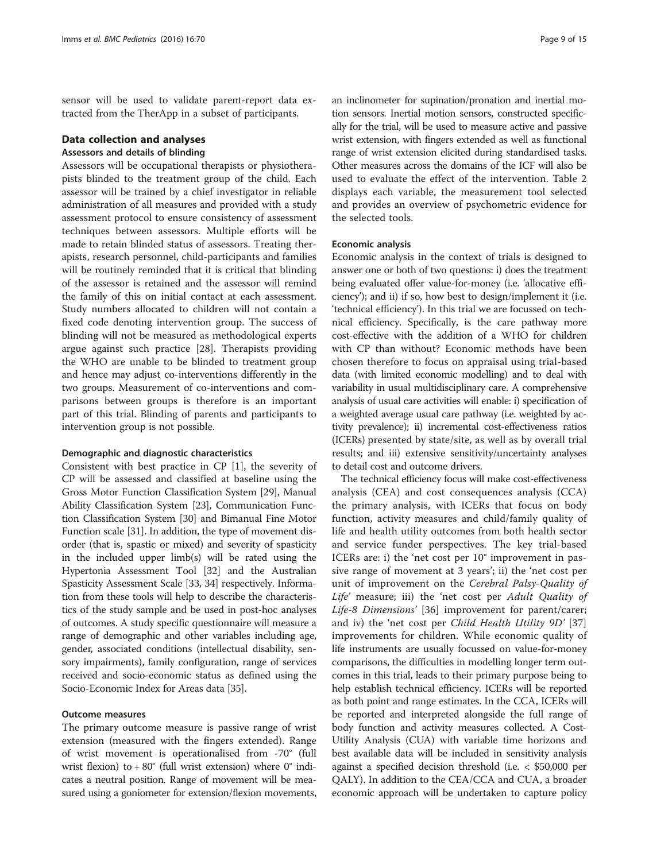sensor will be used to validate parent-report data extracted from the TherApp in a subset of participants.

#### Data collection and analyses Assessors and details of blinding

Assessors will be occupational therapists or physiotherapists blinded to the treatment group of the child. Each assessor will be trained by a chief investigator in reliable administration of all measures and provided with a study assessment protocol to ensure consistency of assessment techniques between assessors. Multiple efforts will be made to retain blinded status of assessors. Treating therapists, research personnel, child-participants and families will be routinely reminded that it is critical that blinding of the assessor is retained and the assessor will remind the family of this on initial contact at each assessment. Study numbers allocated to children will not contain a fixed code denoting intervention group. The success of blinding will not be measured as methodological experts argue against such practice [28]. Therapists providing the WHO are unable to be blinded to treatment group and hence may adjust co-interventions differently in the two groups. Measurement of co-interventions and comparisons between groups is therefore is an important part of this trial. Blinding of parents and participants to intervention group is not possible.

#### Demographic and diagnostic characteristics

Consistent with best practice in CP [1], the severity of CP will be assessed and classified at baseline using the Gross Motor Function Classification System [29], Manual Ability Classification System [23], Communication Function Classification System [30] and Bimanual Fine Motor Function scale [31]. In addition, the type of movement disorder (that is, spastic or mixed) and severity of spasticity in the included upper limb(s) will be rated using the Hypertonia Assessment Tool [32] and the Australian Spasticity Assessment Scale [33, 34] respectively. Information from these tools will help to describe the characteristics of the study sample and be used in post-hoc analyses of outcomes. A study specific questionnaire will measure a range of demographic and other variables including age, gender, associated conditions (intellectual disability, sensory impairments), family configuration, range of services received and socio-economic status as defined using the Socio-Economic Index for Areas data [35].

#### Outcome measures

The primary outcome measure is passive range of wrist extension (measured with the fingers extended). Range of wrist movement is operationalised from -70° (full wrist flexion) to  $+80^\circ$  (full wrist extension) where  $0^\circ$  indicates a neutral position. Range of movement will be measured using a goniometer for extension/flexion movements, an inclinometer for supination/pronation and inertial motion sensors. Inertial motion sensors, constructed specifically for the trial, will be used to measure active and passive wrist extension, with fingers extended as well as functional range of wrist extension elicited during standardised tasks. Other measures across the domains of the ICF will also be used to evaluate the effect of the intervention. Table 2 displays each variable, the measurement tool selected and provides an overview of psychometric evidence for the selected tools.

#### Economic analysis

Economic analysis in the context of trials is designed to answer one or both of two questions: i) does the treatment being evaluated offer value-for-money (i.e. 'allocative efficiency'); and ii) if so, how best to design/implement it (i.e. 'technical efficiency'). In this trial we are focussed on technical efficiency. Specifically, is the care pathway more cost-effective with the addition of a WHO for children with CP than without? Economic methods have been chosen therefore to focus on appraisal using trial-based data (with limited economic modelling) and to deal with variability in usual multidisciplinary care. A comprehensive analysis of usual care activities will enable: i) specification of a weighted average usual care pathway (i.e. weighted by activity prevalence); ii) incremental cost-effectiveness ratios (ICERs) presented by state/site, as well as by overall trial results; and iii) extensive sensitivity/uncertainty analyses to detail cost and outcome drivers.

The technical efficiency focus will make cost-effectiveness analysis (CEA) and cost consequences analysis (CCA) the primary analysis, with ICERs that focus on body function, activity measures and child/family quality of life and health utility outcomes from both health sector and service funder perspectives. The key trial-based ICERs are: i) the 'net cost per 10° improvement in passive range of movement at 3 years'; ii) the 'net cost per unit of improvement on the Cerebral Palsy-Quality of Life' measure; iii) the 'net cost per Adult Quality of Life-8 Dimensions' [36] improvement for parent/carer; and iv) the 'net cost per Child Health Utility 9D' [37] improvements for children. While economic quality of life instruments are usually focussed on value-for-money comparisons, the difficulties in modelling longer term outcomes in this trial, leads to their primary purpose being to help establish technical efficiency. ICERs will be reported as both point and range estimates. In the CCA, ICERs will be reported and interpreted alongside the full range of body function and activity measures collected. A Cost-Utility Analysis (CUA) with variable time horizons and best available data will be included in sensitivity analysis against a specified decision threshold (i.e. < \$50,000 per QALY). In addition to the CEA/CCA and CUA, a broader economic approach will be undertaken to capture policy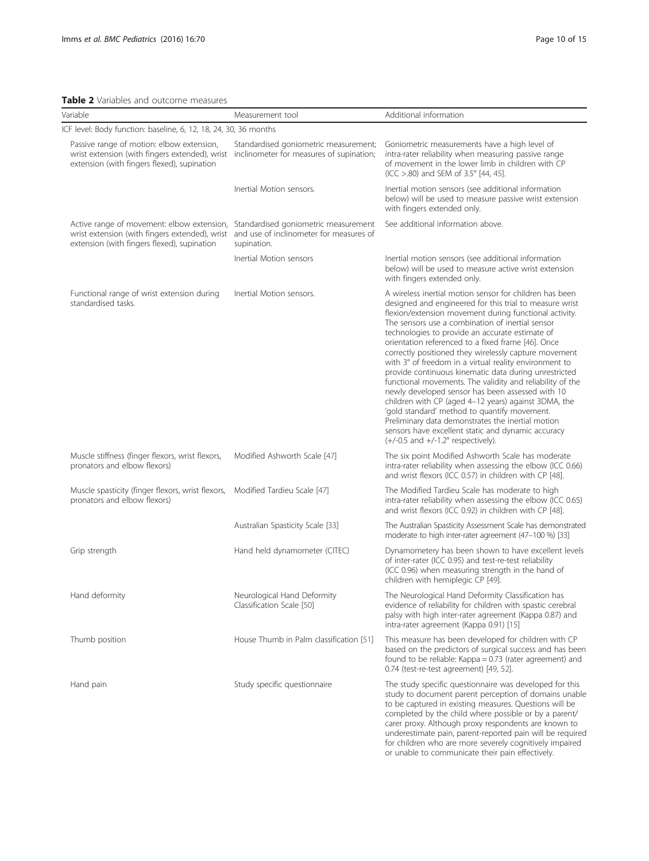#### Table 2 Variables and outcome measures

| Variable                                                                                                                                                                                                                 | Measurement tool                      | Additional information                                                                                                                                                                                                                                                                                                                                                                                                                                                                                                                                                                                                                                                                                                                                                                                                                                                                                     |
|--------------------------------------------------------------------------------------------------------------------------------------------------------------------------------------------------------------------------|---------------------------------------|------------------------------------------------------------------------------------------------------------------------------------------------------------------------------------------------------------------------------------------------------------------------------------------------------------------------------------------------------------------------------------------------------------------------------------------------------------------------------------------------------------------------------------------------------------------------------------------------------------------------------------------------------------------------------------------------------------------------------------------------------------------------------------------------------------------------------------------------------------------------------------------------------------|
| ICF level: Body function: baseline, 6, 12, 18, 24, 30, 36 months                                                                                                                                                         |                                       |                                                                                                                                                                                                                                                                                                                                                                                                                                                                                                                                                                                                                                                                                                                                                                                                                                                                                                            |
| Passive range of motion: elbow extension,<br>wrist extension (with fingers extended), wrist inclinometer for measures of supination;<br>extension (with fingers flexed), supination                                      | Standardised goniometric measurement; | Goniometric measurements have a high level of<br>intra-rater reliability when measuring passive range<br>of movement in the lower limb in children with CP<br>(ICC >.80) and SEM of 3.5° [44, 45].                                                                                                                                                                                                                                                                                                                                                                                                                                                                                                                                                                                                                                                                                                         |
|                                                                                                                                                                                                                          | Inertial Motion sensors.              | Inertial motion sensors (see additional information<br>below) will be used to measure passive wrist extension<br>with fingers extended only.                                                                                                                                                                                                                                                                                                                                                                                                                                                                                                                                                                                                                                                                                                                                                               |
| Active range of movement: elbow extension, Standardised goniometric measurement<br>wrist extension (with fingers extended), wrist and use of inclinometer for measures of<br>extension (with fingers flexed), supination | supination.                           | See additional information above.                                                                                                                                                                                                                                                                                                                                                                                                                                                                                                                                                                                                                                                                                                                                                                                                                                                                          |
|                                                                                                                                                                                                                          | Inertial Motion sensors               | Inertial motion sensors (see additional information<br>below) will be used to measure active wrist extension<br>with fingers extended only.                                                                                                                                                                                                                                                                                                                                                                                                                                                                                                                                                                                                                                                                                                                                                                |
| Functional range of wrist extension during<br>standardised tasks.                                                                                                                                                        | Inertial Motion sensors.              | A wireless inertial motion sensor for children has been<br>designed and engineered for this trial to measure wrist<br>flexion/extension movement during functional activity.<br>The sensors use a combination of inertial sensor<br>technologies to provide an accurate estimate of<br>orientation referenced to a fixed frame [46]. Once<br>correctly positioned they wirelessly capture movement<br>with 3° of freedom in a virtual reality environment to<br>provide continuous kinematic data during unrestricted<br>functional movements. The validity and reliability of the<br>newly developed sensor has been assessed with 10<br>children with CP (aged 4-12 years) against 3DMA, the<br>'gold standard' method to quantify movement.<br>Preliminary data demonstrates the inertial motion<br>sensors have excellent static and dynamic accuracy<br>$(+/-0.5$ and $+/-1.2^{\circ}$ respectively). |
| Muscle stiffness (finger flexors, wrist flexors,<br>pronators and elbow flexors)                                                                                                                                         | Modified Ashworth Scale [47]          | The six point Modified Ashworth Scale has moderate<br>intra-rater reliability when assessing the elbow (ICC 0.66)<br>and wrist flexors (ICC 0.57) in children with CP [48].                                                                                                                                                                                                                                                                                                                                                                                                                                                                                                                                                                                                                                                                                                                                |
| Muscle spasticity (finger flexors, wrist flexors,<br>pronators and elbow flexors)                                                                                                                                        | Modified Tardieu Scale [47]           | The Modified Tardieu Scale has moderate to high<br>intra-rater reliability when assessing the elbow (ICC 0.65)<br>and wrist flexors (ICC 0.92) in children with CP [48].                                                                                                                                                                                                                                                                                                                                                                                                                                                                                                                                                                                                                                                                                                                                   |
|                                                                                                                                                                                                                          | Australian Spasticity Scale [33]      | The Australian Spasticity Assessment Scale has demonstrated<br>moderate to high inter-rater agreement (47-100 %) [33]                                                                                                                                                                                                                                                                                                                                                                                                                                                                                                                                                                                                                                                                                                                                                                                      |
| Grip strength                                                                                                                                                                                                            | Hand held dynamometer (CITEC)         | Dynamometery has been shown to have excellent levels<br>of inter-rater (ICC 0.95) and test-re-test reliability<br>(ICC 0.96) when measuring strength in the hand of<br>children with hemiplegic CP [49].                                                                                                                                                                                                                                                                                                                                                                                                                                                                                                                                                                                                                                                                                                   |
| Hand deformity                                                                                                                                                                                                           | Neurological Hand Deformity           | The Neurological Hand Deformity Classification has                                                                                                                                                                                                                                                                                                                                                                                                                                                                                                                                                                                                                                                                                                                                                                                                                                                         |

Classification Scale [50]

Thumb position **House Thumb in Palm classification** [51] This measure has been developed for children with CP

0.74 (test-re-test agreement) [49, 52]. Hand pain Study specific questionnaire The study specific questionnaire was developed for this study to document parent perception of domains unable to be captured in existing measures. Questions will be completed by the child where possible or by a parent/ carer proxy. Although proxy respondents are known to underestimate pain, parent-reported pain will be required for children who are more severely cognitively impaired

or unable to communicate their pain effectively.

evidence of reliability for children with spastic cerebral palsy with high inter-rater agreement (Kappa 0.87) and

based on the predictors of surgical success and has been found to be reliable: Kappa = 0.73 (rater agreement) and

intra-rater agreement (Kappa 0.91) [15]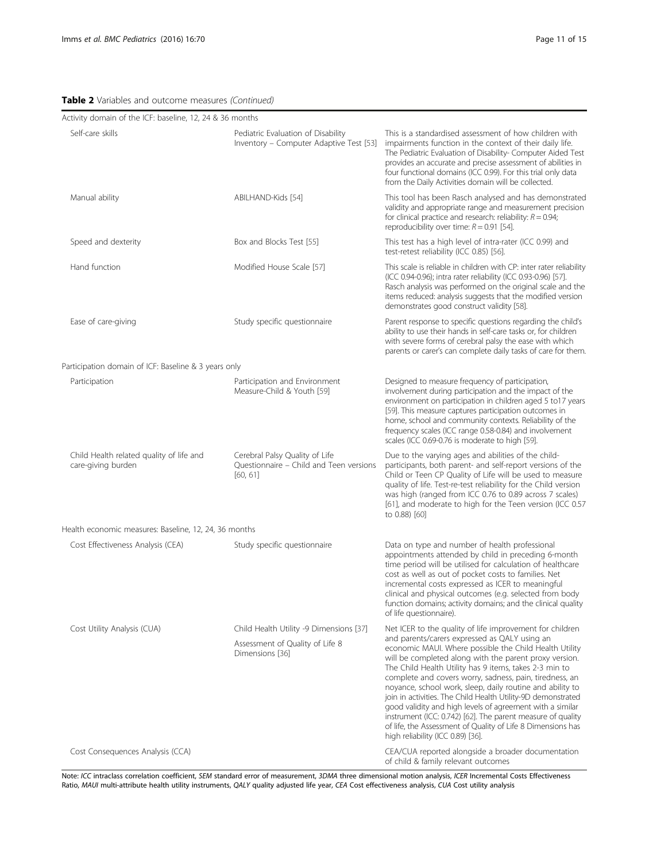#### Table 2 Variables and outcome measures (Continued)

| Activity domain of the ICF: baseline, 12, 24 & 36 months       |                                                                                       |                                                                                                                                                                                                                                                                                                                                                                                                                                                                                                                                                                                                                                                     |  |
|----------------------------------------------------------------|---------------------------------------------------------------------------------------|-----------------------------------------------------------------------------------------------------------------------------------------------------------------------------------------------------------------------------------------------------------------------------------------------------------------------------------------------------------------------------------------------------------------------------------------------------------------------------------------------------------------------------------------------------------------------------------------------------------------------------------------------------|--|
| Self-care skills                                               | Pediatric Evaluation of Disability<br>Inventory - Computer Adaptive Test [53]         | This is a standardised assessment of how children with<br>impairments function in the context of their daily life.<br>The Pediatric Evaluation of Disability- Computer Aided Test<br>provides an accurate and precise assessment of abilities in<br>four functional domains (ICC 0.99). For this trial only data<br>from the Daily Activities domain will be collected.                                                                                                                                                                                                                                                                             |  |
| Manual ability                                                 | ABILHAND-Kids [54]                                                                    | This tool has been Rasch analysed and has demonstrated<br>validity and appropriate range and measurement precision<br>for clinical practice and research: reliability: $R = 0.94$ ;<br>reproducibility over time: $R = 0.91$ [54].                                                                                                                                                                                                                                                                                                                                                                                                                  |  |
| Speed and dexterity                                            | Box and Blocks Test [55]                                                              | This test has a high level of intra-rater (ICC 0.99) and<br>test-retest reliability (ICC 0.85) [56].                                                                                                                                                                                                                                                                                                                                                                                                                                                                                                                                                |  |
| Hand function                                                  | Modified House Scale [57]                                                             | This scale is reliable in children with CP: inter rater reliability<br>(ICC 0.94-0.96); intra rater reliability (ICC 0.93-0.96) [57].<br>Rasch analysis was performed on the original scale and the<br>items reduced: analysis suggests that the modified version<br>demonstrates good construct validity [58].                                                                                                                                                                                                                                                                                                                                     |  |
| Ease of care-giving                                            | Study specific questionnaire                                                          | Parent response to specific questions regarding the child's<br>ability to use their hands in self-care tasks or, for children<br>with severe forms of cerebral palsy the ease with which<br>parents or carer's can complete daily tasks of care for them.                                                                                                                                                                                                                                                                                                                                                                                           |  |
| Participation domain of ICF: Baseline & 3 years only           |                                                                                       |                                                                                                                                                                                                                                                                                                                                                                                                                                                                                                                                                                                                                                                     |  |
| Participation                                                  | Participation and Environment<br>Measure-Child & Youth [59]                           | Designed to measure frequency of participation,<br>involvement during participation and the impact of the<br>environment on participation in children aged 5 to17 years<br>[59]. This measure captures participation outcomes in<br>home, school and community contexts. Reliability of the<br>frequency scales (ICC range 0.58-0.84) and involvement<br>scales (ICC 0.69-0.76 is moderate to high [59].                                                                                                                                                                                                                                            |  |
| Child Health related quality of life and<br>care-giving burden | Cerebral Palsy Quality of Life<br>Questionnaire - Child and Teen versions<br>[60, 61] | Due to the varying ages and abilities of the child-<br>participants, both parent- and self-report versions of the<br>Child or Teen CP Quality of Life will be used to measure<br>quality of life. Test-re-test reliability for the Child version<br>was high (ranged from ICC 0.76 to 0.89 across 7 scales)<br>[61], and moderate to high for the Teen version (ICC 0.57<br>to 0.88) [60]                                                                                                                                                                                                                                                           |  |
| Health economic measures: Baseline, 12, 24, 36 months          |                                                                                       |                                                                                                                                                                                                                                                                                                                                                                                                                                                                                                                                                                                                                                                     |  |
| Cost Effectiveness Analysis (CEA)                              | Study specific questionnaire                                                          | Data on type and number of health professional<br>appointments attended by child in preceding 6-month<br>time period will be utilised for calculation of healthcare<br>cost as well as out of pocket costs to families. Net<br>incremental costs expressed as ICER to meaningful<br>clinical and physical outcomes (e.g. selected from body<br>function domains; activity domains; and the clinical quality<br>of life questionnaire).                                                                                                                                                                                                              |  |
| Cost Utility Analysis (CUA)                                    | Child Health Utility -9 Dimensions [37]                                               | Net ICER to the quality of life improvement for children                                                                                                                                                                                                                                                                                                                                                                                                                                                                                                                                                                                            |  |
|                                                                | Assessment of Quality of Life 8<br>Dimensions [36]                                    | and parents/carers expressed as QALY using an<br>economic MAUI. Where possible the Child Health Utility<br>will be completed along with the parent proxy version.<br>The Child Health Utility has 9 items, takes 2-3 min to<br>complete and covers worry, sadness, pain, tiredness, an<br>noyance, school work, sleep, daily routine and ability to<br>join in activities. The Child Health Utility-9D demonstrated<br>good validity and high levels of agreement with a similar<br>instrument (ICC: 0.742) [62]. The parent measure of quality<br>of life, the Assessment of Quality of Life 8 Dimensions has<br>high reliability (ICC 0.89) [36]. |  |
| Cost Consequences Analysis (CCA)                               |                                                                                       | CEA/CUA reported alongside a broader documentation<br>of child & family relevant outcomes                                                                                                                                                                                                                                                                                                                                                                                                                                                                                                                                                           |  |

Note: ICC intraclass correlation coefficient, SEM standard error of measurement, 3DMA three dimensional motion analysis, ICER Incremental Costs Effectiveness Ratio, MAUI multi-attribute health utility instruments, QALY quality adjusted life year, CEA Cost effectiveness analysis, CUA Cost utility analysis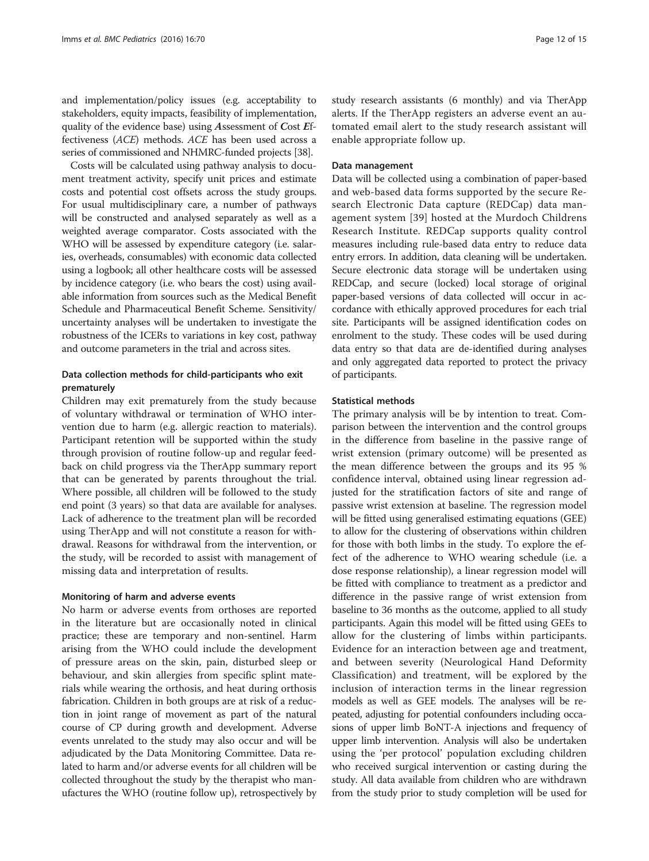and implementation/policy issues (e.g. acceptability to stakeholders, equity impacts, feasibility of implementation, quality of the evidence base) using Assessment of Cost Effectiveness (ACE) methods. ACE has been used across a series of commissioned and NHMRC-funded projects [38].

Costs will be calculated using pathway analysis to document treatment activity, specify unit prices and estimate costs and potential cost offsets across the study groups. For usual multidisciplinary care, a number of pathways will be constructed and analysed separately as well as a weighted average comparator. Costs associated with the WHO will be assessed by expenditure category (i.e. salaries, overheads, consumables) with economic data collected using a logbook; all other healthcare costs will be assessed by incidence category (i.e. who bears the cost) using available information from sources such as the Medical Benefit Schedule and Pharmaceutical Benefit Scheme. Sensitivity/ uncertainty analyses will be undertaken to investigate the robustness of the ICERs to variations in key cost, pathway and outcome parameters in the trial and across sites.

#### Data collection methods for child-participants who exit prematurely

Children may exit prematurely from the study because of voluntary withdrawal or termination of WHO intervention due to harm (e.g. allergic reaction to materials). Participant retention will be supported within the study through provision of routine follow-up and regular feedback on child progress via the TherApp summary report that can be generated by parents throughout the trial. Where possible, all children will be followed to the study end point (3 years) so that data are available for analyses. Lack of adherence to the treatment plan will be recorded using TherApp and will not constitute a reason for withdrawal. Reasons for withdrawal from the intervention, or the study, will be recorded to assist with management of missing data and interpretation of results.

#### Monitoring of harm and adverse events

No harm or adverse events from orthoses are reported in the literature but are occasionally noted in clinical practice; these are temporary and non-sentinel. Harm arising from the WHO could include the development of pressure areas on the skin, pain, disturbed sleep or behaviour, and skin allergies from specific splint materials while wearing the orthosis, and heat during orthosis fabrication. Children in both groups are at risk of a reduction in joint range of movement as part of the natural course of CP during growth and development. Adverse events unrelated to the study may also occur and will be adjudicated by the Data Monitoring Committee. Data related to harm and/or adverse events for all children will be collected throughout the study by the therapist who manufactures the WHO (routine follow up), retrospectively by study research assistants (6 monthly) and via TherApp alerts. If the TherApp registers an adverse event an automated email alert to the study research assistant will enable appropriate follow up.

#### Data management

Data will be collected using a combination of paper-based and web-based data forms supported by the secure Research Electronic Data capture (REDCap) data management system [39] hosted at the Murdoch Childrens Research Institute. REDCap supports quality control measures including rule-based data entry to reduce data entry errors. In addition, data cleaning will be undertaken. Secure electronic data storage will be undertaken using REDCap, and secure (locked) local storage of original paper-based versions of data collected will occur in accordance with ethically approved procedures for each trial site. Participants will be assigned identification codes on enrolment to the study. These codes will be used during data entry so that data are de-identified during analyses and only aggregated data reported to protect the privacy of participants.

#### Statistical methods

The primary analysis will be by intention to treat. Comparison between the intervention and the control groups in the difference from baseline in the passive range of wrist extension (primary outcome) will be presented as the mean difference between the groups and its 95 % confidence interval, obtained using linear regression adjusted for the stratification factors of site and range of passive wrist extension at baseline. The regression model will be fitted using generalised estimating equations (GEE) to allow for the clustering of observations within children for those with both limbs in the study. To explore the effect of the adherence to WHO wearing schedule (i.e. a dose response relationship), a linear regression model will be fitted with compliance to treatment as a predictor and difference in the passive range of wrist extension from baseline to 36 months as the outcome, applied to all study participants. Again this model will be fitted using GEEs to allow for the clustering of limbs within participants. Evidence for an interaction between age and treatment, and between severity (Neurological Hand Deformity Classification) and treatment, will be explored by the inclusion of interaction terms in the linear regression models as well as GEE models. The analyses will be repeated, adjusting for potential confounders including occasions of upper limb BoNT-A injections and frequency of upper limb intervention. Analysis will also be undertaken using the 'per protocol' population excluding children who received surgical intervention or casting during the study. All data available from children who are withdrawn from the study prior to study completion will be used for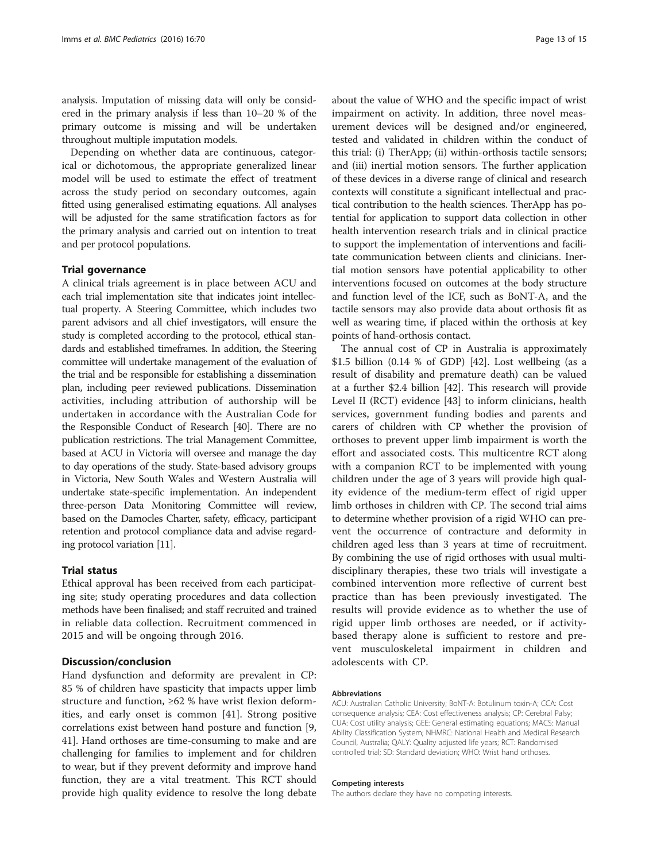analysis. Imputation of missing data will only be considered in the primary analysis if less than 10–20 % of the primary outcome is missing and will be undertaken throughout multiple imputation models.

Depending on whether data are continuous, categorical or dichotomous, the appropriate generalized linear model will be used to estimate the effect of treatment across the study period on secondary outcomes, again fitted using generalised estimating equations. All analyses will be adjusted for the same stratification factors as for the primary analysis and carried out on intention to treat and per protocol populations.

#### Trial governance

A clinical trials agreement is in place between ACU and each trial implementation site that indicates joint intellectual property. A Steering Committee, which includes two parent advisors and all chief investigators, will ensure the study is completed according to the protocol, ethical standards and established timeframes. In addition, the Steering committee will undertake management of the evaluation of the trial and be responsible for establishing a dissemination plan, including peer reviewed publications. Dissemination activities, including attribution of authorship will be undertaken in accordance with the Australian Code for the Responsible Conduct of Research [40]. There are no publication restrictions. The trial Management Committee, based at ACU in Victoria will oversee and manage the day to day operations of the study. State-based advisory groups in Victoria, New South Wales and Western Australia will undertake state-specific implementation. An independent three-person Data Monitoring Committee will review, based on the Damocles Charter, safety, efficacy, participant retention and protocol compliance data and advise regarding protocol variation [11].

#### Trial status

Ethical approval has been received from each participating site; study operating procedures and data collection methods have been finalised; and staff recruited and trained in reliable data collection. Recruitment commenced in 2015 and will be ongoing through 2016.

#### Discussion/conclusion

Hand dysfunction and deformity are prevalent in CP: 85 % of children have spasticity that impacts upper limb structure and function, ≥62 % have wrist flexion deformities, and early onset is common [41]. Strong positive correlations exist between hand posture and function [9, 41]. Hand orthoses are time-consuming to make and are challenging for families to implement and for children to wear, but if they prevent deformity and improve hand function, they are a vital treatment. This RCT should provide high quality evidence to resolve the long debate

about the value of WHO and the specific impact of wrist impairment on activity. In addition, three novel measurement devices will be designed and/or engineered, tested and validated in children within the conduct of this trial: (i) TherApp; (ii) within-orthosis tactile sensors; and (iii) inertial motion sensors. The further application of these devices in a diverse range of clinical and research contexts will constitute a significant intellectual and practical contribution to the health sciences. TherApp has potential for application to support data collection in other health intervention research trials and in clinical practice to support the implementation of interventions and facilitate communication between clients and clinicians. Inertial motion sensors have potential applicability to other interventions focused on outcomes at the body structure and function level of the ICF, such as BoNT-A, and the tactile sensors may also provide data about orthosis fit as well as wearing time, if placed within the orthosis at key points of hand-orthosis contact.

The annual cost of CP in Australia is approximately \$1.5 billion  $(0.14 % of GDP)$  [42]. Lost wellbeing (as a result of disability and premature death) can be valued at a further \$2.4 billion [42]. This research will provide Level II (RCT) evidence [43] to inform clinicians, health services, government funding bodies and parents and carers of children with CP whether the provision of orthoses to prevent upper limb impairment is worth the effort and associated costs. This multicentre RCT along with a companion RCT to be implemented with young children under the age of 3 years will provide high quality evidence of the medium-term effect of rigid upper limb orthoses in children with CP. The second trial aims to determine whether provision of a rigid WHO can prevent the occurrence of contracture and deformity in children aged less than 3 years at time of recruitment. By combining the use of rigid orthoses with usual multidisciplinary therapies, these two trials will investigate a combined intervention more reflective of current best practice than has been previously investigated. The results will provide evidence as to whether the use of rigid upper limb orthoses are needed, or if activitybased therapy alone is sufficient to restore and prevent musculoskeletal impairment in children and adolescents with CP.

#### Abbreviations

ACU: Australian Catholic University; BoNT-A: Botulinum toxin-A; CCA: Cost consequence analysis; CEA: Cost effectiveness analysis; CP: Cerebral Palsy; CUA: Cost utility analysis; GEE: General estimating equations; MACS: Manual Ability Classification System; NHMRC: National Health and Medical Research Council, Australia; QALY: Quality adjusted life years; RCT: Randomised controlled trial; SD: Standard deviation; WHO: Wrist hand orthoses.

#### Competing interests

The authors declare they have no competing interests.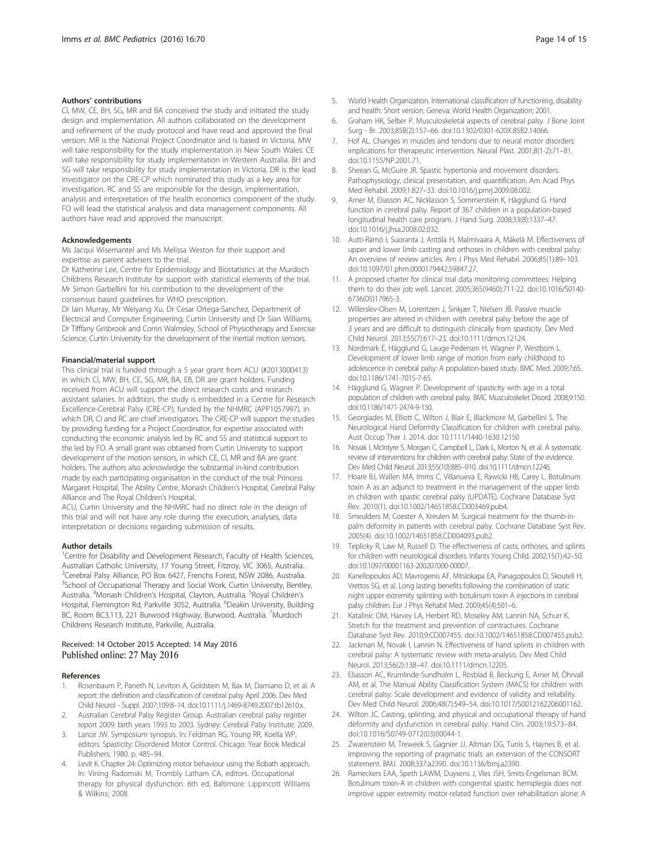#### Authors' contributions

CI, MW, CE, BH, SG, MR and BA conceived the study and initiated the study design and implementation. All authors collaborated on the development and refinement of the study protocol and have read and approved the final version. MR is the National Project Coordinator and is based in Victoria. MW will take responsibility for the study implementation in New South Wales. CE will take responsibility for study implementation in Western Australia. BH and SG will take responsibility for study implementation in Victoria. DR is the lead investigator on the CRE-CP which nominated this study as a key area for investigation. RC and SS are responsible for the design, implementation, analysis and interpretation of the health economics component of the study. FO will lead the statistical analysis and data management components. All authors have read and approved the manuscript.

#### Acknowledgements

Ms Jacqui Wisemantel and Ms Melissa Weston for their support and expertise as parent advisers to the trial.

Dr Katherine Lee, Centre for Epidemiology and Biostatistics at the Murdoch Childrens Research Institute for support with statistical elements of the trial. Mr Simon Garbellini for his contribution to the development of the consensus based guidelines for WHO prescription.

Dr Iain Murray, Mr Weiyang Xu, Dr Cesar Ortega-Sanchez, Department of Electrical and Computer Engineering, Curtin University and Dr Sian Williams, Dr Tifffany Grisbrook and Corrin Walmsley, School of Physiotherapy and Exercise Science, Curtin University for the development of the inertial motion sensors.

#### Financial/material support

This clinical trial is funded through a 5 year grant from ACU (#2013000413) in which CI, MW, BH, CE, SG, MR, BA, EB, DR are grant holders. Funding received from ACU will support the direct research costs and research assistant salaries. In addition, the study is embedded in a Centre for Research Excellence-Cerebral Palsy (CRE-CP), funded by the NHMRC (APP1057997), in which DR, CI and RC are chief investigators. The CRE-CP will support the studies by providing funding for a Project Coordinator, for expertise associated with conducting the economic analysis led by RC and SS and statistical support to the led by FO. A small grant was obtained from Curtin University to support development of the motion sensors, in which CE, CI, MR and BA are grant holders. The authors also acknowledge the substantial in-kind contribution made by each participating organisation in the conduct of the trial: Princess Margaret Hospital, The Ability Centre, Monash Children's Hospital, Cerebral Palsy Alliance and The Royal Children's Hospital.

ACU, Curtin University and the NHMRC had no direct role in the design of this trial and will not have any role during the execution, analyses, data interpretation or decisions regarding submission of results.

#### Author details

<sup>1</sup> Centre for Disability and Development Research, Faculty of Health Sciences, Australian Catholic University, 17 Young Street, Fitzroy, VIC 3065, Australia. 2 Cerebral Palsy Alliance, PO Box 6427, Frenchs Forest, NSW 2086, Australia. <sup>3</sup>School of Occupational Therapy and Social Work, Curtin University, Bentley, Australia. <sup>4</sup>Monash Children's Hospital, Clayton, Australia. <sup>5</sup>Royal Children's Hospital, Flemington Rd, Parkville 3052, Australia. <sup>6</sup>Deakin University, Building BC, Room BC3.113, 221 Burwood Highway, Burwood, Australia. <sup>7</sup>Murdoch Childrens Research Institute, Parkville, Australia.

#### Received: 14 October 2015 Accepted: 14 May 2016 Published online: 27 May 2016

#### References

- Rosenbaum P, Paneth N, Leviton A, Goldstein M, Bax M, Damiano D, et al. A report: the definition and classification of cerebral palsy April 2006. Dev Med Child Neurol - Suppl. 2007;109:8–14. doi:10.1111/j.1469-8749.2007.tb12610.x.
- 2. Australian Cerebral Palsy Register Group. Australian cerebral palsy register report 2009: birth years 1993 to 2003. Sydney: Cerebral Palsy Institute; 2009.
- 3. Lance JW. Symposium synopsis. In: Feldman RG, Young RR, Koella WP, editors. Spasticity: Disordered Motor Control. Chicago: Year Book Medical Publishers; 1980. p. 485–94.
- Levit K. Chapter 24: Optimizing motor behaviour using the Bobath approach. In: Vining Radomski M, Trombly Latham CA, editors. Occupational therapy for physical dysfunction. 6th ed. Baltimore: Lippincott Williams & Wilkins; 2008.
- 5. World Health Organization. International classification of functioning, disability and health: Short version. Geneva: World Health Organization; 2001.
- 6. Graham HK, Selber P. Musculoskeletal aspects of cerebral palsy. J Bone Joint Surg - Br. 2003;85B(2):157–66. doi:10.1302/0301-620X.85B2.14066.
- 7. Hof AL. Changes in muscles and tendons due to neural motor disorders: implications for therapeutic intervention. Neural Plast. 2001;8(1-2):71–81. doi:10.1155/NP.2001.71.
- 8. Sheean G, McGuire JR. Spastic hypertonia and movement disorders: Pathophysiology, clinical presentation, and quantification. Am Acad Phys Med Rehabil. 2009;1:827–33. doi:10.1016/j.pmrj.2009.08.002.
- Arner M, Eliasson AC, Nicklasson S, Sommerstein K, Hägglund G. Hand function in cerebral palsy. Report of 367 children in a population-based longitudinal health care program. J Hand Surg. 2008;33(8):1337–47. doi:10.1016/j.jhsa.2008.02.032.
- 10. Autti-Rämö I, Suoranta J, Anttila H, Malmivaara A, Mäkelä M. Effectiveness of upper and lower limb casting and orthoses in children with cerebral palsy: An overview of review articles. Am J Phys Med Rehabil. 2006;85(1):89–103. doi:10.1097/01.phm.0000179442.59847.27.
- 11. A proposed charter for clinical trial data monitoring committees: Helping them to do their job well. Lancet. 2005;365(9460):711-22. doi:10.1016/S0140- 6736(05)17965-3.
- 12. Willerslev-Olsen M, Lorentzen J, Sinkjær T, Nielsen JB. Passive muscle properties are altered in children with cerebral palsy before the age of 3 years and are difficult to distinguish clinically from spasticity. Dev Med Child Neurol. 2013;55(7):617–23. doi:10.1111/dmcn.12124.
- 13. Nordmark E, Hägglund G, Lauge-Pedersen H, Wagner P, Westbom L. Development of lower limb range of motion from early childhood to adolescence in cerebral palsy: A population-based study. BMC Med. 2009;7:65. doi:10.1186/1741-7015-7-65.
- 14. Hägglund G, Wagner P. Development of spasticity with age in a total population of children with cerebral palsy. BMC Musculoskelet Disord. 2008;9:150. doi:10.1186/1471-2474-9-150.
- 15. Georgiades M, Elliott C, Wilton J, Blair E, Blackmore M, Garbellini S. The Neurological Hand Deformity Classification for children with cerebral palsy. Aust Occup Ther J. 2014. doi: 10.1111/1440-1630.12150
- 16. Novak I, McIntyre S, Morgan C, Campbell L, Dark L, Morton N, et al. A systematic review of interventions for children with cerebral palsy: State of the evidence. Dev Med Child Neurol. 2013;55(10):885–910. doi:10.1111/dmcn.12246.
- 17. Hoare BJ, Wallen MA, Imms C, Villanueva E, Rawicki HB, Carey L. Botulinum toxin A as an adjunct to treatment in the management of the upper limb in children with spastic cerebral palsy (UPDATE). Cochrane Database Syst Rev. 2010(1). doi:10.1002/14651858.CD003469.pub4.
- 18. Smeulders M, Coester A, Kreulen M. Surgical treatment for the thumb-inpalm deformity in patients with cerebral palsy. Cochrane Database Syst Rev. 2005(4). doi:10.1002/14651858.CD004093.pub2.
- 19. Teplicky R, Law M, Russell D. The effectiveness of casts, orthoses, and splints for children with neurological disorders. Infants Young Child. 2002;15(1):42–50. doi:10.1097/00001163-200207000-00007.
- 20. Kanellopoulos AD, Mavrogenis AF, Mitsiokapa EA, Panagopoulos D, Skouteli H, Vrettos SG, et al. Long lasting benefits following the combination of static night upper extremity splinting with botulinum toxin A injections in cerebral palsy children. Eur J Phys Rehabil Med. 2009;45(4):501–6.
- 21. Katalinic OM, Harvey LA, Herbert RD, Moseley AM, Lannin NA, Schurr K. Stretch for the treatment and prevention of contractures. Cochrane Database Syst Rev. 2010;9:CD007455. doi:10.1002/14651858.CD007455.pub2.
- 22. Jackman M, Novak I, Lannin N. Effectiveness of hand splints in children with cerebral palsy: A systematic review with meta-analysis. Dev Med Child Neurol. 2013;56(2):138–47. doi:10.1111/dmcn.12205.
- 23. Eliasson AC, Krumlinde-Sundholm L, Rösblad B, Beckung E, Arner M, Öhrvall AM, et al. The Manual Ability Classification System (MACS) for children with cerebral palsy: Scale development and evidence of validity and reliability. Dev Med Child Neurol. 2006;48(7):549–54. doi:10.1017/S0012162206001162.
- 24. Wilton JC. Casting, splinting, and physical and occupational therapy of hand deformity and dysfunction in cerebral palsy. Hand Clin. 2003;19:573–84. doi:10.1016/S0749-0712(03)00044-1.
- 25. Zwarenstein M, Treweek S, Gagnier JJ, Altman DG, Tunis S, Haynes B, et al. Improving the reporting of pragmatic trials: an extension of the CONSORT statement. BMJ. 2008;337:a2390. doi:10.1136/bmj.a2390.
- 26. Rameckers EAA, Speth LAWM, Duysens J, Vles JSH, Smits-Engelsman BCM. Botulinum toxin-A in children with congenital spastic hemiplegia does not improve upper extremity motor-related function over rehabilitation alone: A